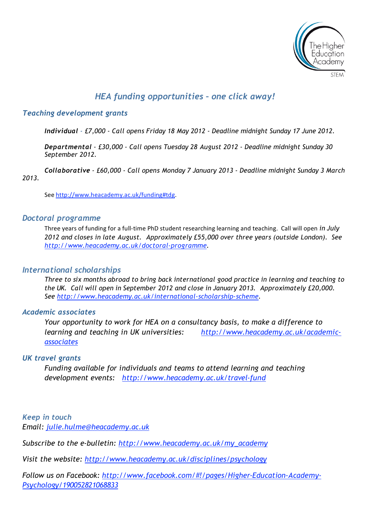

# *HEA funding opportunities – one click away!*

### *Teaching development grants*

*Individual - £7,000 - Call opens Friday 18 May 2012 - Deadline midnight Sunday 17 June 2012.*

*Departmental - £30,000 - Call opens Tuesday 28 August 2012 - Deadline midnight Sunday 30 September 2012.*

*Collaborative - £60,000 - Call opens Monday 7 January 2013 - Deadline midnight Sunday 3 March 2013.*

See
http://www.heacademy.ac.uk/funding#tdg.

#### *Doctoral programme*

Three years of funding for a full-time PhD student researching learning and teaching. Call will open *in July 2012 and closes in late August. Approximately £55,000 over three years (outside London). See http://www.heacademy.ac.uk/doctoral-programme.* 

#### *International scholarships*

*Three to six months abroad to bring back international good practice in learning and teaching to the UK. Call will open in September 2012 and close in January 2013. Approximately £20,000. See http://www.heacademy.ac.uk/international-scholarship-scheme.* 

#### *Academic associates*

*Your opportunity to work for HEA on a consultancy basis, to make a difference to learning and teaching in UK universities: http://www.heacademy.ac.uk/academicassociates*

#### *UK travel grants*

*Funding available for individuals and teams to attend learning and teaching development events: http://www.heacademy.ac.uk/travel-fund*

*Keep in touch Email: julie.hulme@heacademy.ac.uk*

*Subscribe to the e-bulletin: http://www.heacademy.ac.uk/my\_academy*

*Visit the website: http://www.heacademy.ac.uk/disciplines/psychology*

*Follow us on Facebook: http://www.facebook.com/#!/pages/Higher-Education-Academy-Psychology/190052821068833*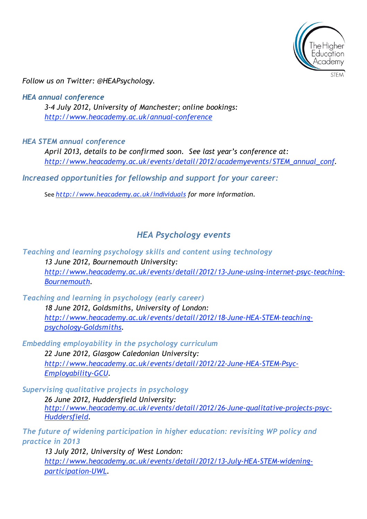

*Follow us on Twitter: @HEAPsychology.* 

*HEA annual conference 3-4 July 2012, University of Manchester; online bookings: http://www.heacademy.ac.uk/annual-conference*

*HEA STEM annual conference*

*April 2013, details to be confirmed soon. See last year's conference at: http://www.heacademy.ac.uk/events/detail/2012/academyevents/STEM\_annual\_conf.* 

*Increased opportunities for fellowship and support for your career:*

See *http://www.heacademy.ac.uk/individuals for more information.*

## *HEA Psychology events*

*Teaching and learning psychology skills and content using technology 13 June 2012, Bournemouth University: http://www.heacademy.ac.uk/events/detail/2012/13-June-using-internet-psyc-teaching-Bournemouth.* 

*Teaching and learning in psychology (early career) 18 June 2012, Goldsmiths, University of London: http://www.heacademy.ac.uk/events/detail/2012/18-June-HEA-STEM-teachingpsychology-Goldsmiths.* 

*Embedding employability in the psychology curriculum 22 June 2012, Glasgow Caledonian University: http://www.heacademy.ac.uk/events/detail/2012/22-June-HEA-STEM-Psyc-Employability-GCU.* 

*Supervising qualitative projects in psychology*

*26 June 2012, Huddersfield University: http://www.heacademy.ac.uk/events/detail/2012/26-June-qualitative-projects-psyc-Huddersfield.*

*The future of widening participation in higher education: revisiting WP policy and practice in 2013*

*13 July 2012, University of West London: http://www.heacademy.ac.uk/events/detail/2012/13-July-HEA-STEM-wideningparticipation-UWL.*